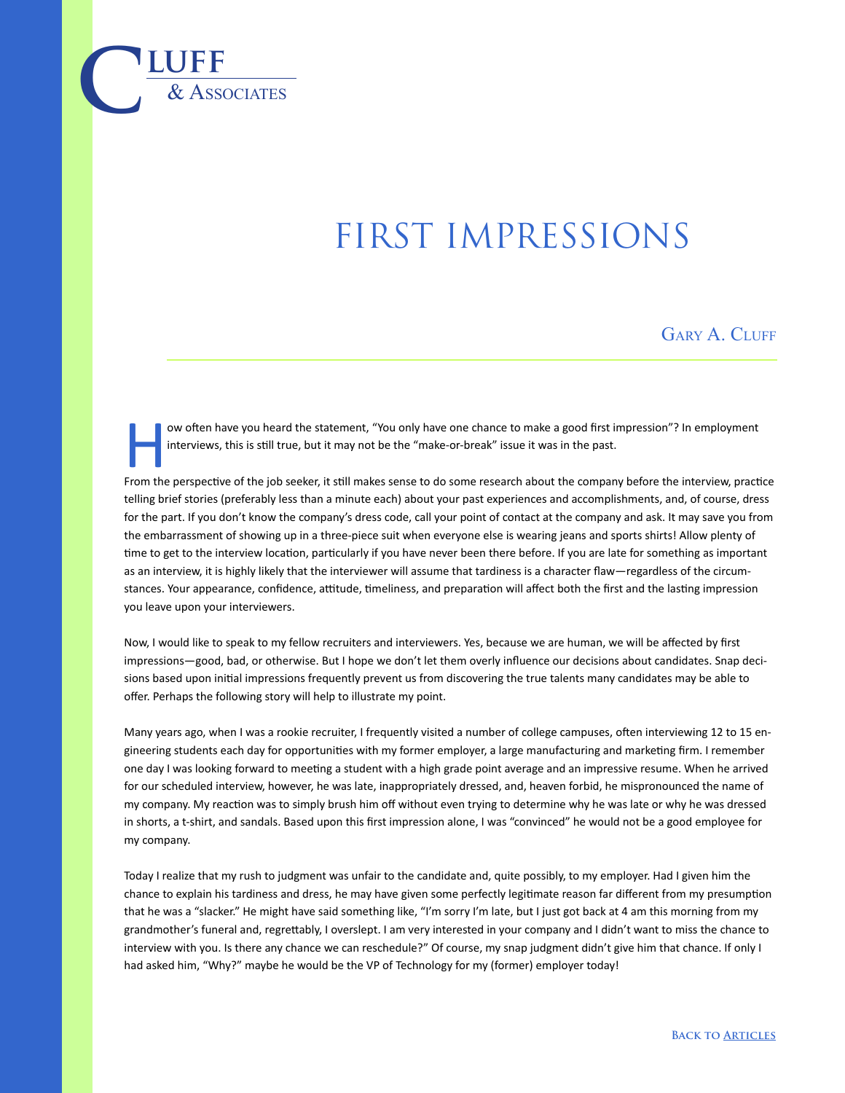## first impressions

GARY A. CLUFF

ow often have you heard the statement, "You only have one chance to make a good first impression"? In employment interviews, this is still true, but it may not be the "make-or-break" issue it was in the past.

 $\overline{\text{LUFF}}$  **luff** 

From the perspective of the job seeker, it still makes sense to do some research about the company before the interview, practice telling brief stories (preferably less than a minute each) about your past experiences and accomplishments, and, of course, dress for the part. If you don't know the company's dress code, call your point of contact at the company and ask. It may save you from the embarrassment of showing up in a three-piece suit when everyone else is wearing jeans and sports shirts! Allow plenty of time to get to the interview location, particularly if you have never been there before. If you are late for something as important as an interview, it is highly likely that the interviewer will assume that tardiness is a character flaw—regardless of the circumstances. Your appearance, confidence, attitude, timeliness, and preparation will affect both the first and the lasting impression you leave upon your interviewers.

Now, I would like to speak to my fellow recruiters and interviewers. Yes, because we are human, we will be affected by first impressions—good, bad, or otherwise. But I hope we don't let them overly influence our decisions about candidates. Snap decisions based upon initial impressions frequently prevent us from discovering the true talents many candidates may be able to offer. Perhaps the following story will help to illustrate my point.

Many years ago, when I was a rookie recruiter, I frequently visited a number of college campuses, often interviewing 12 to 15 engineering students each day for opportunities with my former employer, a large manufacturing and marketing firm. I remember one day I was looking forward to meeting a student with a high grade point average and an impressive resume. When he arrived for our scheduled interview, however, he was late, inappropriately dressed, and, heaven forbid, he mispronounced the name of my company. My reaction was to simply brush him off without even trying to determine why he was late or why he was dressed in shorts, a t-shirt, and sandals. Based upon this first impression alone, I was "convinced" he would not be a good employee for my company.

Today I realize that my rush to judgment was unfair to the candidate and, quite possibly, to my employer. Had I given him the chance to explain his tardiness and dress, he may have given some perfectly legitimate reason far different from my presumption that he was a "slacker." He might have said something like, "I'm sorry I'm late, but I just got back at 4 am this morning from my grandmother's funeral and, regrettably, I overslept. I am very interested in your company and I didn't want to miss the chance to interview with you. Is there any chance we can reschedule?" Of course, my snap judgment didn't give him that chance. If only I had asked him, "Why?" maybe he would be the VP of Technology for my (former) employer today!